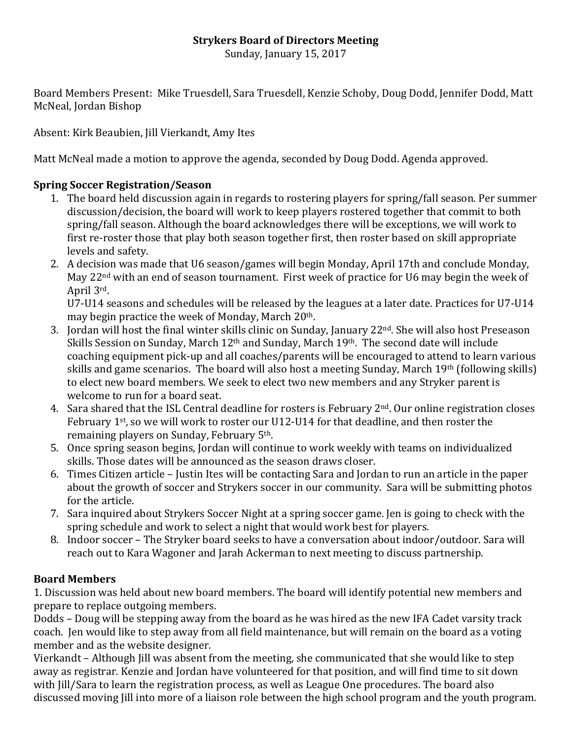## **Strykers Board of Directors Meeting**

Sunday, January 15, 2017

Board Members Present: Mike Truesdell, Sara Truesdell, Kenzie Schoby, Doug Dodd, Jennifer Dodd, Matt McNeal, Jordan Bishop

Absent: Kirk Beaubien, Jill Vierkandt, Amy Ites

Matt McNeal made a motion to approve the agenda, seconded by Doug Dodd. Agenda approved.

#### **Spring Soccer Registration/Season**

- 1. The board held discussion again in regards to rostering players for spring/fall season. Per summer discussion/decision, the board will work to keep players rostered together that commit to both spring/fall season. Although the board acknowledges there will be exceptions, we will work to first re-roster those that play both season together first, then roster based on skill appropriate levels and safety.
- 2. A decision was made that U6 season/games will begin Monday, April 17th and conclude Monday, May 22<sup>nd</sup> with an end of season tournament. First week of practice for U6 may begin the week of April 3rd.

U7-U14 seasons and schedules will be released by the leagues at a later date. Practices for U7-U14 may begin practice the week of Monday, March  $20<sup>th</sup>$ .

- 3. Jordan will host the final winter skills clinic on Sunday, January  $22<sup>nd</sup>$ , She will also host Preseason Skills Session on Sunday, March  $12<sup>th</sup>$  and Sunday, March  $19<sup>th</sup>$ . The second date will include coaching equipment pick-up and all coaches/parents will be encouraged to attend to learn various skills and game scenarios. The board will also host a meeting Sunday, March  $19<sup>th</sup>$  (following skills) to elect new board members. We seek to elect two new members and any Stryker parent is welcome to run for a board seat.
- 4. Sara shared that the ISL Central deadline for rosters is February  $2<sup>nd</sup>$ . Our online registration closes February  $1^{st}$ , so we will work to roster our U12-U14 for that deadline, and then roster the remaining players on Sunday, February 5<sup>th</sup>.
- 5. Once spring season begins, Jordan will continue to work weekly with teams on individualized skills. Those dates will be announced as the season draws closer.
- 6. Times Citizen article Justin Ites will be contacting Sara and Jordan to run an article in the paper about the growth of soccer and Strykers soccer in our community. Sara will be submitting photos for the article.
- 7. Sara inquired about Strykers Soccer Night at a spring soccer game. Jen is going to check with the spring schedule and work to select a night that would work best for players.
- 8. Indoor soccer The Stryker board seeks to have a conversation about indoor/outdoor. Sara will reach out to Kara Wagoner and Jarah Ackerman to next meeting to discuss partnership.

## **Board Members**

1. Discussion was held about new board members. The board will identify potential new members and prepare to replace outgoing members.

Dodds – Doug will be stepping away from the board as he was hired as the new IFA Cadet varsity track coach. Jen would like to step away from all field maintenance, but will remain on the board as a voting member and as the website designer.

Vierkandt – Although Jill was absent from the meeting, she communicated that she would like to step away as registrar. Kenzie and Jordan have volunteered for that position, and will find time to sit down with Jill/Sara to learn the registration process, as well as League One procedures. The board also discussed moving [ill into more of a liaison role between the high school program and the youth program.